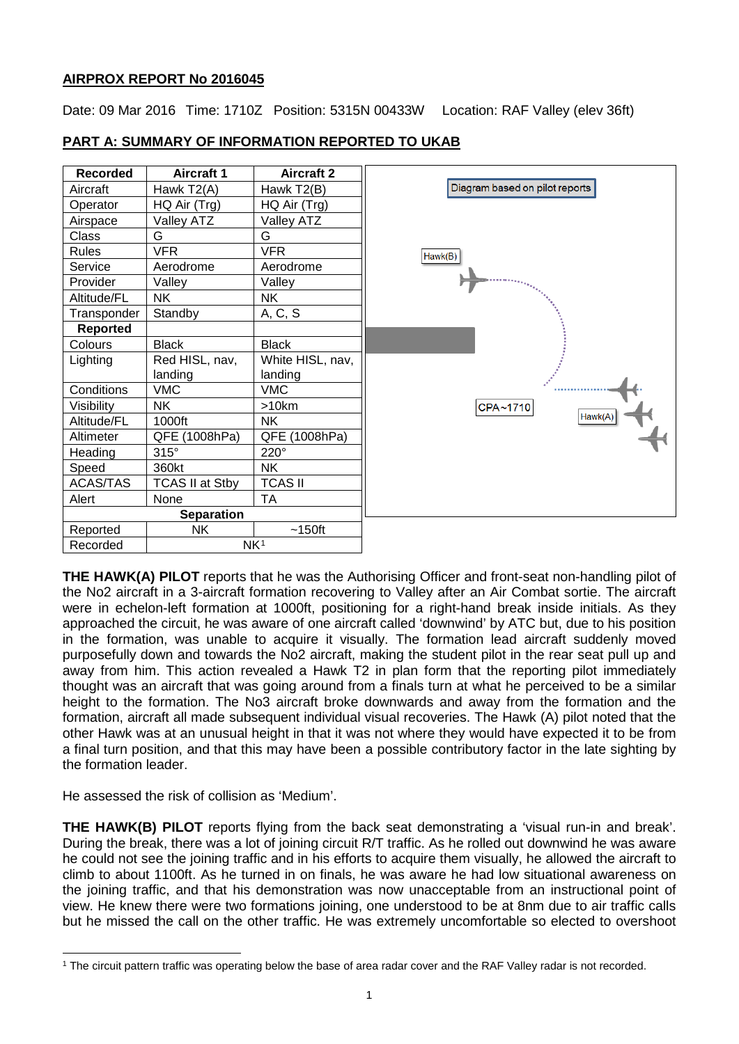# **AIRPROX REPORT No 2016045**

Date: 09 Mar 2016 Time: 1710Z Position: 5315N 00433W Location: RAF Valley (elev 36ft)

| <b>Recorded</b>   | <b>Aircraft 1</b>      | <b>Aircraft 2</b> |                                |
|-------------------|------------------------|-------------------|--------------------------------|
| Aircraft          | Hawk T2(A)             | Hawk T2(B)        | Diagram based on pilot reports |
| Operator          | HQ Air (Trg)           | HQ Air (Trg)      |                                |
| Airspace          | <b>Valley ATZ</b>      | Valley ATZ        |                                |
| <b>Class</b>      | G                      | G                 |                                |
| <b>Rules</b>      | <b>VFR</b>             | <b>VFR</b>        | Hawk(B)                        |
| Service           | Aerodrome              | Aerodrome         |                                |
| Provider          | Valley                 | Valley            |                                |
| Altitude/FL       | <b>NK</b>              | NΚ                |                                |
| Transponder       | Standby                | A, C, S           |                                |
| Reported          |                        |                   |                                |
| Colours           | <b>Black</b>           | <b>Black</b>      |                                |
| Lighting          | Red HISL, nav,         | White HISL, nav,  |                                |
|                   | landing                | landing           |                                |
| Conditions        | <b>VMC</b>             | <b>VMC</b>        |                                |
| Visibility        | <b>NK</b>              | >10km             | CPA~1710                       |
| Altitude/FL       | 1000ft                 | <b>NK</b>         | Hawk(A)                        |
| Altimeter         | QFE (1008hPa)          | QFE (1008hPa)     |                                |
| Heading           | $315^\circ$            | 220°              |                                |
| Speed             | 360kt                  | <b>NK</b>         |                                |
| <b>ACAS/TAS</b>   | <b>TCAS II at Stby</b> | <b>TCAS II</b>    |                                |
| Alert             | None                   | TA                |                                |
| <b>Separation</b> |                        |                   |                                |
| Reported          | <b>NK</b>              | $~150$ ft         |                                |
| Recorded          | NK <sup>1</sup>        |                   |                                |

# **PART A: SUMMARY OF INFORMATION REPORTED TO UKAB**

**THE HAWK(A) PILOT** reports that he was the Authorising Officer and front-seat non-handling pilot of the No2 aircraft in a 3-aircraft formation recovering to Valley after an Air Combat sortie. The aircraft were in echelon-left formation at 1000ft, positioning for a right-hand break inside initials. As they approached the circuit, he was aware of one aircraft called 'downwind' by ATC but, due to his position in the formation, was unable to acquire it visually. The formation lead aircraft suddenly moved purposefully down and towards the No2 aircraft, making the student pilot in the rear seat pull up and away from him. This action revealed a Hawk T2 in plan form that the reporting pilot immediately thought was an aircraft that was going around from a finals turn at what he perceived to be a similar height to the formation. The No3 aircraft broke downwards and away from the formation and the formation, aircraft all made subsequent individual visual recoveries. The Hawk (A) pilot noted that the other Hawk was at an unusual height in that it was not where they would have expected it to be from a final turn position, and that this may have been a possible contributory factor in the late sighting by the formation leader.

He assessed the risk of collision as 'Medium'.

 $\overline{\phantom{a}}$ 

**THE HAWK(B) PILOT** reports flying from the back seat demonstrating a 'visual run-in and break'. During the break, there was a lot of joining circuit R/T traffic. As he rolled out downwind he was aware he could not see the joining traffic and in his efforts to acquire them visually, he allowed the aircraft to climb to about 1100ft. As he turned in on finals, he was aware he had low situational awareness on the joining traffic, and that his demonstration was now unacceptable from an instructional point of view. He knew there were two formations joining, one understood to be at 8nm due to air traffic calls but he missed the call on the other traffic. He was extremely uncomfortable so elected to overshoot

<span id="page-0-0"></span><sup>1</sup> The circuit pattern traffic was operating below the base of area radar cover and the RAF Valley radar is not recorded.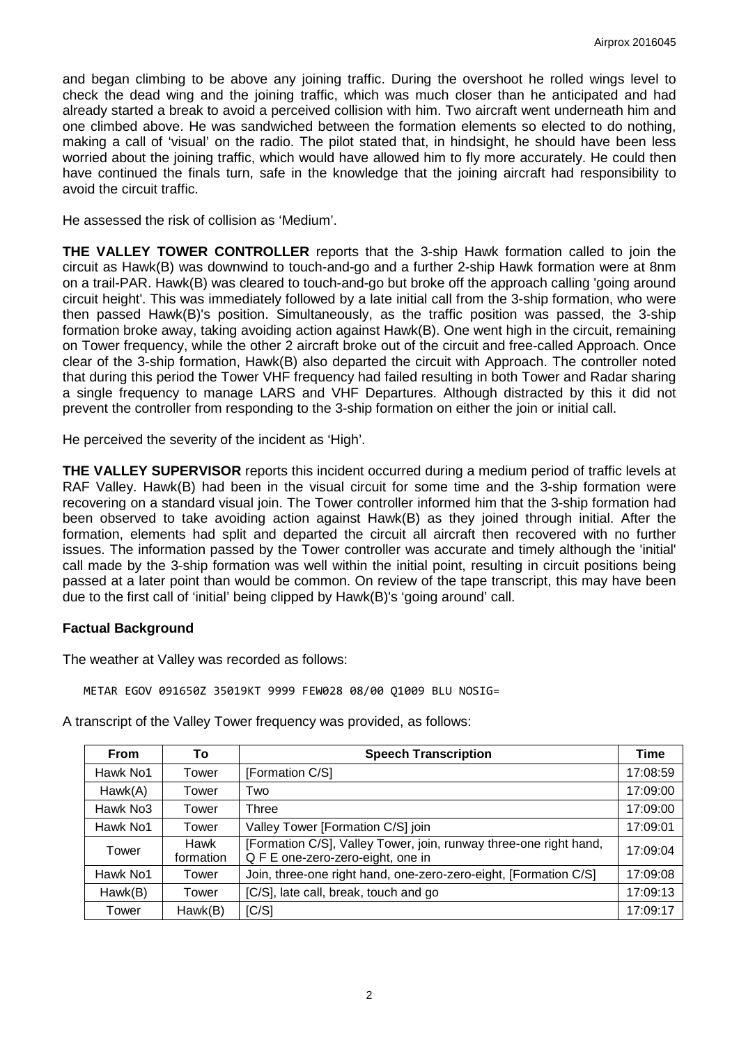and began climbing to be above any joining traffic. During the overshoot he rolled wings level to check the dead wing and the joining traffic, which was much closer than he anticipated and had already started a break to avoid a perceived collision with him. Two aircraft went underneath him and one climbed above. He was sandwiched between the formation elements so elected to do nothing, making a call of 'visual' on the radio. The pilot stated that, in hindsight, he should have been less worried about the joining traffic, which would have allowed him to fly more accurately. He could then have continued the finals turn, safe in the knowledge that the joining aircraft had responsibility to avoid the circuit traffic.

He assessed the risk of collision as 'Medium'.

**THE VALLEY TOWER CONTROLLER** reports that the 3-ship Hawk formation called to join the circuit as Hawk(B) was downwind to touch-and-go and a further 2-ship Hawk formation were at 8nm on a trail-PAR. Hawk(B) was cleared to touch-and-go but broke off the approach calling 'going around circuit height'. This was immediately followed by a late initial call from the 3-ship formation, who were then passed Hawk(B)'s position. Simultaneously, as the traffic position was passed, the 3-ship formation broke away, taking avoiding action against Hawk(B). One went high in the circuit, remaining on Tower frequency, while the other 2 aircraft broke out of the circuit and free-called Approach. Once clear of the 3-ship formation, Hawk(B) also departed the circuit with Approach. The controller noted that during this period the Tower VHF frequency had failed resulting in both Tower and Radar sharing a single frequency to manage LARS and VHF Departures. Although distracted by this it did not prevent the controller from responding to the 3-ship formation on either the join or initial call.

He perceived the severity of the incident as 'High'.

**THE VALLEY SUPERVISOR** reports this incident occurred during a medium period of traffic levels at RAF Valley. Hawk(B) had been in the visual circuit for some time and the 3-ship formation were recovering on a standard visual join. The Tower controller informed him that the 3-ship formation had been observed to take avoiding action against Hawk(B) as they joined through initial. After the formation, elements had split and departed the circuit all aircraft then recovered with no further issues. The information passed by the Tower controller was accurate and timely although the 'initial' call made by the 3-ship formation was well within the initial point, resulting in circuit positions being passed at a later point than would be common. On review of the tape transcript, this may have been due to the first call of 'initial' being clipped by Hawk(B)'s 'going around' call.

## **Factual Background**

The weather at Valley was recorded as follows:

METAR EGOV 091650Z 35019KT 9999 FEW028 08/00 Q1009 BLU NOSIG=

| <b>From</b>          | To                | <b>Speech Transcription</b>                                                                            | Time     |
|----------------------|-------------------|--------------------------------------------------------------------------------------------------------|----------|
| Hawk No1             | Tower             | [Formation C/S]                                                                                        | 17:08:59 |
| Hawk(A)              | Tower             | Two                                                                                                    | 17:09:00 |
| Hawk No <sub>3</sub> | Tower             | Three                                                                                                  | 17:09:00 |
| Hawk No1             | Tower             | Valley Tower [Formation C/S] join                                                                      | 17:09:01 |
| Tower                | Hawk<br>formation | [Formation C/S], Valley Tower, join, runway three-one right hand,<br>Q F E one-zero-zero-eight, one in | 17:09:04 |
| Hawk No1             | Tower             | Join, three-one right hand, one-zero-zero-eight, [Formation C/S]                                       | 17:09:08 |
| Hawk(B)              | Tower             | [C/S], late call, break, touch and go                                                                  | 17:09:13 |
| Tower                | Hawk(B)           | [C/S]                                                                                                  | 17:09:17 |

A transcript of the Valley Tower frequency was provided, as follows: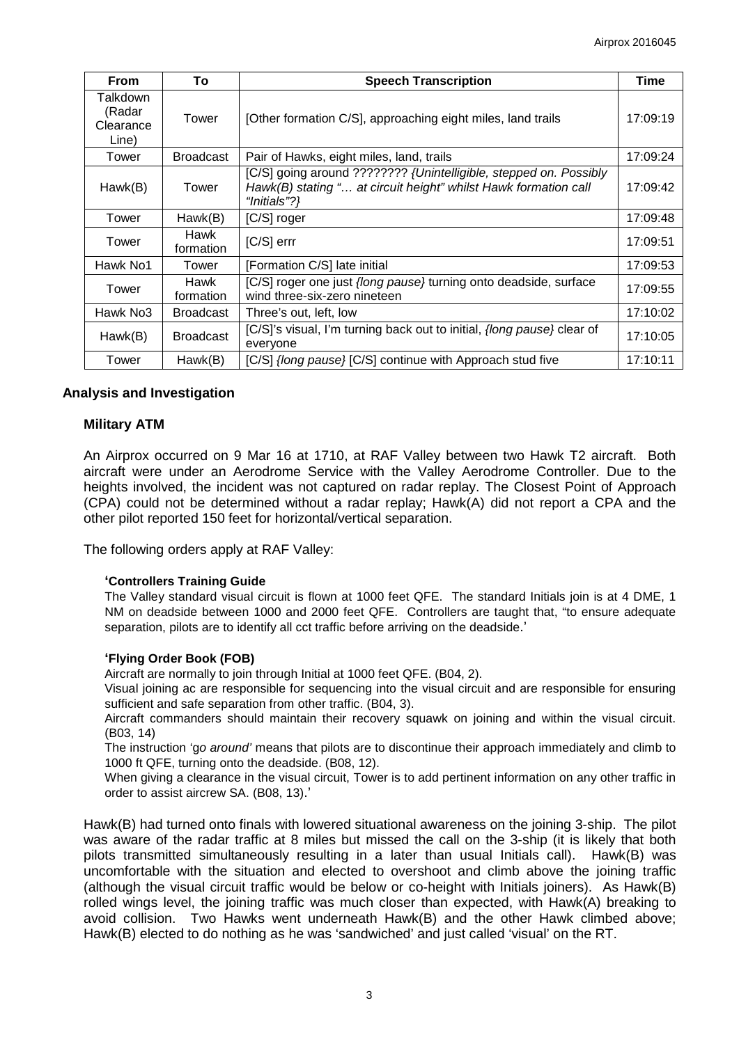| <b>From</b>                              | Тo                | <b>Speech Transcription</b>                                                                                                                          | Time     |
|------------------------------------------|-------------------|------------------------------------------------------------------------------------------------------------------------------------------------------|----------|
| Talkdown<br>(Radar<br>Clearance<br>Line) | Tower             | [Other formation C/S], approaching eight miles, land trails                                                                                          | 17:09:19 |
| Tower                                    | <b>Broadcast</b>  | Pair of Hawks, eight miles, land, trails                                                                                                             | 17:09:24 |
| Hawk(B)                                  | Tower             | [C/S] going around ???????? {Unintelligible, stepped on. Possibly<br>Hawk(B) stating " at circuit height" whilst Hawk formation call<br>"Initials"?} | 17:09:42 |
| Tower                                    | Hawk(B)           | [C/S] roger                                                                                                                                          | 17:09:48 |
| Tower                                    | Hawk<br>formation | $[C/S]$ errr                                                                                                                                         | 17:09:51 |
| Hawk No1                                 | Tower             | [Formation C/S] late initial                                                                                                                         | 17:09:53 |
| Tower                                    | Hawk<br>formation | [C/S] roger one just {long pause} turning onto deadside, surface<br>wind three-six-zero nineteen                                                     | 17:09:55 |
| Hawk No <sub>3</sub>                     | <b>Broadcast</b>  | Three's out, left, low                                                                                                                               | 17:10:02 |
| Hawk(B)                                  | <b>Broadcast</b>  | [C/S]'s visual, I'm turning back out to initial, {long pause} clear of<br>everyone                                                                   | 17:10:05 |
| Tower                                    | Hawk(B)           | [C/S] {long pause} [C/S] continue with Approach stud five                                                                                            | 17:10:11 |

#### **Analysis and Investigation**

#### **Military ATM**

An Airprox occurred on 9 Mar 16 at 1710, at RAF Valley between two Hawk T2 aircraft. Both aircraft were under an Aerodrome Service with the Valley Aerodrome Controller. Due to the heights involved, the incident was not captured on radar replay. The Closest Point of Approach (CPA) could not be determined without a radar replay; Hawk(A) did not report a CPA and the other pilot reported 150 feet for horizontal/vertical separation.

The following orders apply at RAF Valley:

#### **'Controllers Training Guide**

The Valley standard visual circuit is flown at 1000 feet QFE. The standard Initials join is at 4 DME, 1 NM on deadside between 1000 and 2000 feet QFE. Controllers are taught that, "to ensure adequate separation, pilots are to identify all cct traffic before arriving on the deadside.'

### **'Flying Order Book (FOB)**

Aircraft are normally to join through Initial at 1000 feet QFE. (B04, 2).

Visual joining ac are responsible for sequencing into the visual circuit and are responsible for ensuring sufficient and safe separation from other traffic. (B04, 3).

Aircraft commanders should maintain their recovery squawk on joining and within the visual circuit. (B03, 14)

The instruction 'g*o around'* means that pilots are to discontinue their approach immediately and climb to 1000 ft QFE, turning onto the deadside. (B08, 12).

When giving a clearance in the visual circuit, Tower is to add pertinent information on any other traffic in order to assist aircrew SA. (B08, 13).'

Hawk(B) had turned onto finals with lowered situational awareness on the joining 3-ship. The pilot was aware of the radar traffic at 8 miles but missed the call on the 3-ship (it is likely that both pilots transmitted simultaneously resulting in a later than usual Initials call). Hawk(B) was uncomfortable with the situation and elected to overshoot and climb above the joining traffic (although the visual circuit traffic would be below or co-height with Initials joiners). As Hawk(B) rolled wings level, the joining traffic was much closer than expected, with Hawk(A) breaking to avoid collision. Two Hawks went underneath Hawk(B) and the other Hawk climbed above; Hawk(B) elected to do nothing as he was 'sandwiched' and just called 'visual' on the RT.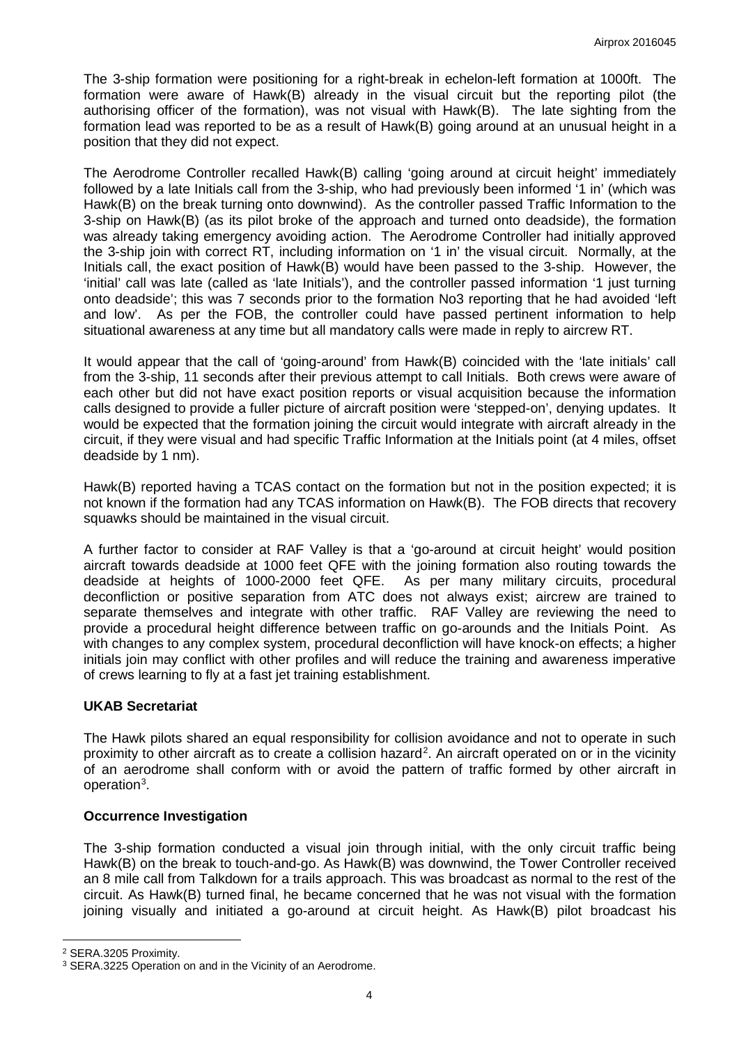The 3-ship formation were positioning for a right-break in echelon-left formation at 1000ft. The formation were aware of Hawk(B) already in the visual circuit but the reporting pilot (the authorising officer of the formation), was not visual with Hawk(B). The late sighting from the formation lead was reported to be as a result of Hawk(B) going around at an unusual height in a position that they did not expect.

The Aerodrome Controller recalled Hawk(B) calling 'going around at circuit height' immediately followed by a late Initials call from the 3-ship, who had previously been informed '1 in' (which was Hawk(B) on the break turning onto downwind). As the controller passed Traffic Information to the 3-ship on Hawk(B) (as its pilot broke of the approach and turned onto deadside), the formation was already taking emergency avoiding action. The Aerodrome Controller had initially approved the 3-ship join with correct RT, including information on '1 in' the visual circuit. Normally, at the Initials call, the exact position of Hawk(B) would have been passed to the 3-ship. However, the 'initial' call was late (called as 'late Initials'), and the controller passed information '1 just turning onto deadside'; this was 7 seconds prior to the formation No3 reporting that he had avoided 'left and low'. As per the FOB, the controller could have passed pertinent information to help situational awareness at any time but all mandatory calls were made in reply to aircrew RT.

It would appear that the call of 'going-around' from Hawk(B) coincided with the 'late initials' call from the 3-ship, 11 seconds after their previous attempt to call Initials. Both crews were aware of each other but did not have exact position reports or visual acquisition because the information calls designed to provide a fuller picture of aircraft position were 'stepped-on', denying updates. It would be expected that the formation joining the circuit would integrate with aircraft already in the circuit, if they were visual and had specific Traffic Information at the Initials point (at 4 miles, offset deadside by 1 nm).

Hawk(B) reported having a TCAS contact on the formation but not in the position expected; it is not known if the formation had any TCAS information on Hawk(B). The FOB directs that recovery squawks should be maintained in the visual circuit.

A further factor to consider at RAF Valley is that a 'go-around at circuit height' would position aircraft towards deadside at 1000 feet QFE with the joining formation also routing towards the deadside at heights of 1000-2000 feet QFE. As per many military circuits, procedural deconfliction or positive separation from ATC does not always exist; aircrew are trained to separate themselves and integrate with other traffic. RAF Valley are reviewing the need to provide a procedural height difference between traffic on go-arounds and the Initials Point.As with changes to any complex system, procedural deconfliction will have knock-on effects; a higher initials ioin may conflict with other profiles and will reduce the training and awareness imperative of crews learning to fly at a fast jet training establishment.

#### **UKAB Secretariat**

The Hawk pilots shared an equal responsibility for collision avoidance and not to operate in such proximity to other aircraft as to create a collision hazard<sup>[2](#page-3-0)</sup>. An aircraft operated on or in the vicinity of an aerodrome shall conform with or avoid the pattern of traffic formed by other aircraft in operation<sup>[3](#page-3-1)</sup>.

### **Occurrence Investigation**

The 3-ship formation conducted a visual join through initial, with the only circuit traffic being Hawk(B) on the break to touch-and-go. As Hawk(B) was downwind, the Tower Controller received an 8 mile call from Talkdown for a trails approach. This was broadcast as normal to the rest of the circuit. As Hawk(B) turned final, he became concerned that he was not visual with the formation joining visually and initiated a go-around at circuit height. As Hawk(B) pilot broadcast his

l

<span id="page-3-0"></span><sup>2</sup> SERA.3205 Proximity.

<span id="page-3-1"></span><sup>&</sup>lt;sup>3</sup> SERA.3225 Operation on and in the Vicinity of an Aerodrome.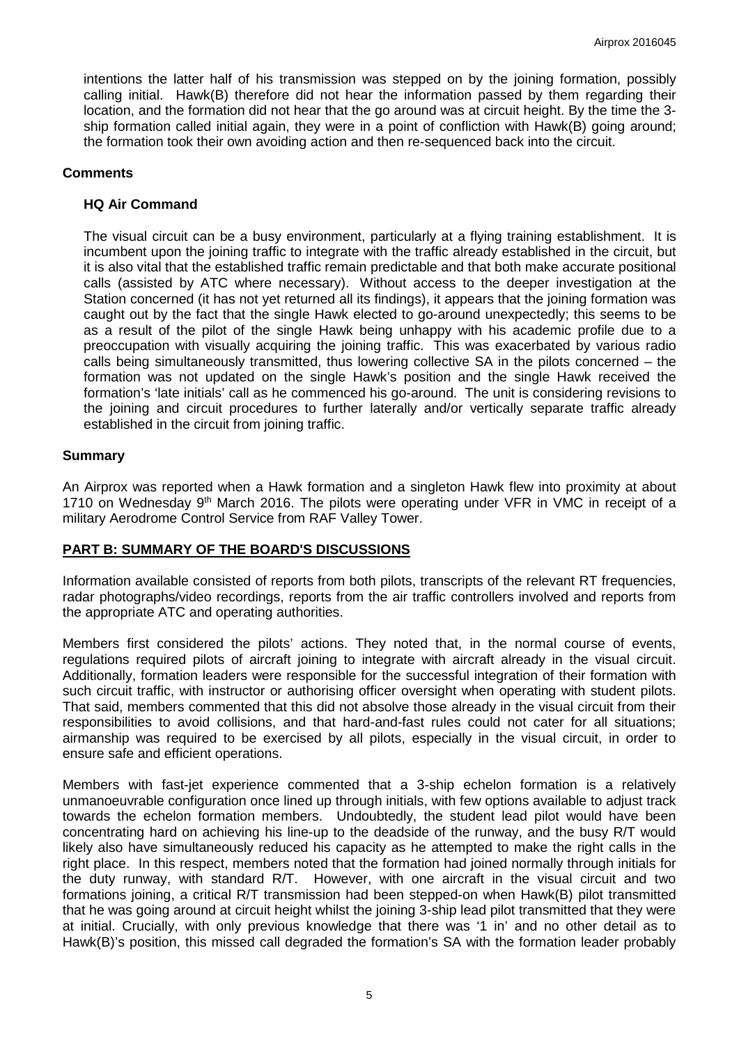intentions the latter half of his transmission was stepped on by the joining formation, possibly calling initial. Hawk(B) therefore did not hear the information passed by them regarding their location, and the formation did not hear that the go around was at circuit height. By the time the 3 ship formation called initial again, they were in a point of confliction with Hawk(B) going around; the formation took their own avoiding action and then re-sequenced back into the circuit.

### **Comments**

### **HQ Air Command**

The visual circuit can be a busy environment, particularly at a flying training establishment. It is incumbent upon the joining traffic to integrate with the traffic already established in the circuit, but it is also vital that the established traffic remain predictable and that both make accurate positional calls (assisted by ATC where necessary). Without access to the deeper investigation at the Station concerned (it has not yet returned all its findings), it appears that the joining formation was caught out by the fact that the single Hawk elected to go-around unexpectedly; this seems to be as a result of the pilot of the single Hawk being unhappy with his academic profile due to a preoccupation with visually acquiring the joining traffic. This was exacerbated by various radio calls being simultaneously transmitted, thus lowering collective SA in the pilots concerned – the formation was not updated on the single Hawk's position and the single Hawk received the formation's 'late initials' call as he commenced his go-around. The unit is considering revisions to the joining and circuit procedures to further laterally and/or vertically separate traffic already established in the circuit from joining traffic.

### **Summary**

An Airprox was reported when a Hawk formation and a singleton Hawk flew into proximity at about 1710 on Wednesday  $9<sup>th</sup>$  March 2016. The pilots were operating under VFR in VMC in receipt of a military Aerodrome Control Service from RAF Valley Tower.

## **PART B: SUMMARY OF THE BOARD'S DISCUSSIONS**

Information available consisted of reports from both pilots, transcripts of the relevant RT frequencies, radar photographs/video recordings, reports from the air traffic controllers involved and reports from the appropriate ATC and operating authorities.

Members first considered the pilots' actions. They noted that, in the normal course of events, regulations required pilots of aircraft joining to integrate with aircraft already in the visual circuit. Additionally, formation leaders were responsible for the successful integration of their formation with such circuit traffic, with instructor or authorising officer oversight when operating with student pilots. That said, members commented that this did not absolve those already in the visual circuit from their responsibilities to avoid collisions, and that hard-and-fast rules could not cater for all situations; airmanship was required to be exercised by all pilots, especially in the visual circuit, in order to ensure safe and efficient operations.

Members with fast-jet experience commented that a 3-ship echelon formation is a relatively unmanoeuvrable configuration once lined up through initials, with few options available to adjust track towards the echelon formation members. Undoubtedly, the student lead pilot would have been concentrating hard on achieving his line-up to the deadside of the runway, and the busy R/T would likely also have simultaneously reduced his capacity as he attempted to make the right calls in the right place. In this respect, members noted that the formation had joined normally through initials for the duty runway, with standard R/T. However, with one aircraft in the visual circuit and two formations joining, a critical R/T transmission had been stepped-on when Hawk(B) pilot transmitted that he was going around at circuit height whilst the joining 3-ship lead pilot transmitted that they were at initial. Crucially, with only previous knowledge that there was '1 in' and no other detail as to Hawk(B)'s position, this missed call degraded the formation's SA with the formation leader probably